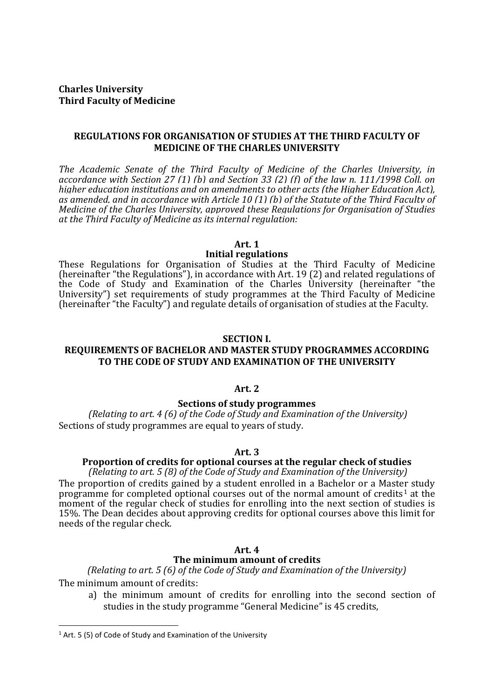# **Charles University Third Faculty of Medicine**

# **REGULATIONS FOR ORGANISATION OF STUDIES AT THE THIRD FACULTY OF MEDICINE OF THE CHARLES UNIVERSITY**

*The Academic Senate of the Third Faculty of Medicine of the Charles University, in accordance with Section 27 (1) (b) and Section 33 (2) (f) of the law n. 111/1998 Coll. on higher education institutions and on amendments to other acts (the Higher Education Act), as amended, and in accordance with Article 10 (1) (b) of the Statute of the Third Faculty of Medicine of the Charles University, approved these Regulations for Organisation of Studies at the Third Faculty of Medicine as its internal regulation:*

#### **Art. 1**

#### **Initial regulations**

These Regulations for Organisation of Studies at the Third Faculty of Medicine (hereinafter "the Regulations"), in accordance with Art. 19 (2) and related regulations of the Code of Study and Examination of the Charles University (hereinafter "the University") set requirements of study programmes at the Third Faculty of Medicine (hereinafter "the Faculty") and regulate details of organisation of studies at the Faculty.

#### **SECTION I.**

# **REQUIREMENTS OF BACHELOR AND MASTER STUDY PROGRAMMES ACCORDING TO THE CODE OF STUDY AND EXAMINATION OF THE UNIVERSITY**

## **Art. 2**

# **Sections of study programmes**

 *(Relating to art. 4 (6) of the Code of Study and Examination of the University)*  Sections of study programmes are equal to years of study.

#### **Art. 3**

### **Proportion of credits for optional courses at the regular check of studies**

*(Relating to art. 5 (8) of the Code of Study and Examination of the University)*

The proportion of credits gained by a student enrolled in a Bachelor or a Master study programme for completed optional courses out of the normal amount of credits<sup>[1](#page-0-0)</sup> at the moment of the regular check of studies for enrolling into the next section of studies is 15%. The Dean decides about approving credits for optional courses above this limit for needs of the regular check.

#### **Art. 4**

### **The minimum amount of credits**

*(Relating to art. 5 (6) of the Code of Study and Examination of the University)* The minimum amount of credits:

a) the minimum amount of credits for enrolling into the second section of studies in the study programme "General Medicine" is 45 credits,

<span id="page-0-0"></span> $1$  Art. 5 (5) of Code of Study and Examination of the University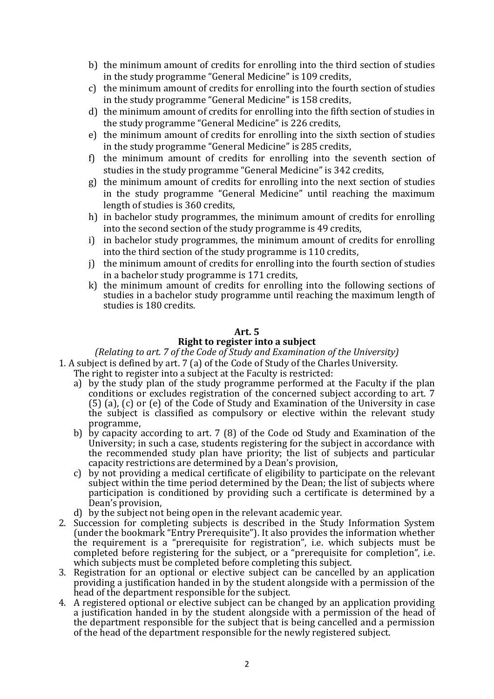- b) the minimum amount of credits for enrolling into the third section of studies in the study programme "General Medicine" is 109 credits,
- c) the minimum amount of credits for enrolling into the fourth section of studies in the study programme "General Medicine" is 158 credits,
- d) the minimum amount of credits for enrolling into the fifth section of studies in the study programme "General Medicine" is 226 credits,
- e) the minimum amount of credits for enrolling into the sixth section of studies in the study programme "General Medicine" is 285 credits,
- f) the minimum amount of credits for enrolling into the seventh section of studies in the study programme "General Medicine" is 342 credits,
- g) the minimum amount of credits for enrolling into the next section of studies in the study programme "General Medicine" until reaching the maximum length of studies is 360 credits,
- h) in bachelor study programmes, the minimum amount of credits for enrolling into the second section of the study programme is 49 credits,
- i) in bachelor study programmes, the minimum amount of credits for enrolling into the third section of the study programme is 110 credits,
- j) the minimum amount of credits for enrolling into the fourth section of studies in a bachelor study programme is 171 credits,
- k) the minimum amount of credits for enrolling into the following sections of studies in a bachelor study programme until reaching the maximum length of studies is 180 credits.

# **Art. 5**

# **Right to register into a subject**

*(Relating to art. 7 of the Code of Study and Examination of the University)* 1. A subject is defined by art. 7 (a) of the Code of Study of the Charles University.

- The right to register into a subject at the Faculty is restricted:
- a) by the study plan of the study programme performed at the Faculty if the plan conditions or excludes registration of the concerned subject according to art. 7 (5) (a), (c) or (e) of the Code of Study and Examination of the University in case the subject is classified as compulsory or elective within the relevant study programme,
- b) by capacity according to art. 7 (8) of the Code od Study and Examination of the University; in such a case, students registering for the subject in accordance with the recommended study plan have priority; the list of subjects and particular capacity restrictions are determined by a Dean's provision,
- c) by not providing a medical certificate of eligibility to participate on the relevant subject within the time period determined by the Dean; the list of subjects where participation is conditioned by providing such a certificate is determined by a Dean's provision,
- d) by the subject not being open in the relevant academic year.
- 2. Succession for completing subjects is described in the Study Information System (under the bookmark "Entry Prerequisite"). It also provides the information whether the requirement is a "prerequisite for registration", i.e. which subjects must be completed before registering for the subject, or a "prerequisite for completion", i.e. which subjects must be completed before completing this subject.
- 3. Registration for an optional or elective subject can be cancelled by an application providing a justification handed in by the student alongside with a permission of the head of the department responsible for the subject.
- 4. A registered optional or elective subject can be changed by an application providing a justification handed in by the student alongside with a permission of the head of the department responsible for the subject that is being cancelled and a permission of the head of the department responsible for the newly registered subject.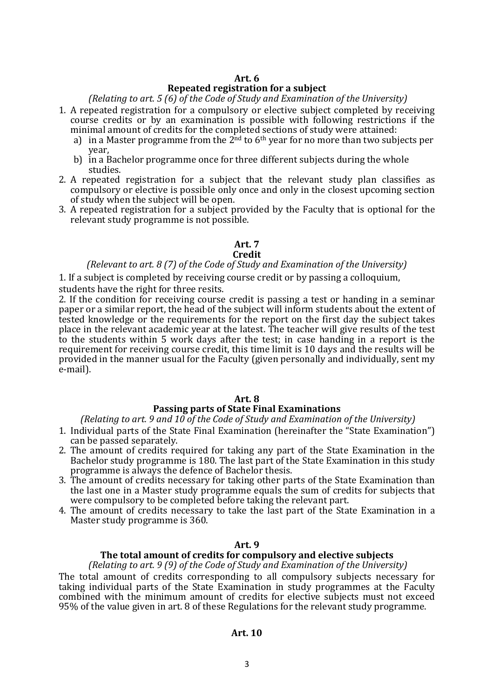# **Art. 6**

# **Repeated registration for a subject**

*(Relating to art. 5 (6) of the Code of Study and Examination of the University)*

- 1. A repeated registration for a compulsory or elective subject completed by receiving course credits or by an examination is possible with following restrictions if the minimal amount of credits for the completed sections of study were attained:
	- a) in a Master programme from the  $2<sup>nd</sup>$  to  $6<sup>th</sup>$  year for no more than two subjects per year,
	- b) in a Bachelor programme once for three different subjects during the whole studies.
- 2. A repeated registration for a subject that the relevant study plan classifies as compulsory or elective is possible only once and only in the closest upcoming section of study when the subject will be open.
- 3. A repeated registration for a subject provided by the Faculty that is optional for the relevant study programme is not possible.

# **Art. 7**

# **Credit**

## *(Relevant to art. 8 (7) of the Code of Study and Examination of the University)*

1. If a subject is completed by receiving course credit or by passing a colloquium,

students have the right for three resits.

2. If the condition for receiving course credit is passing a test or handing in a seminar paper or a similar report, the head of the subject will inform students about the extent of tested knowledge or the requirements for the report on the first day the subject takes place in the relevant academic year at the latest. The teacher will give results of the test to the students within 5 work days after the test; in case handing in a report is the requirement for receiving course credit, this time limit is 10 days and the results will be provided in the manner usual for the Faculty (given personally and individually, sent my e-mail).

### **Art. 8**

### **Passing parts of State Final Examinations**

*(Relating to art. 9 and 10 of the Code of Study and Examination of the University)*

- 1. Individual parts of the State Final Examination (hereinafter the "State Examination") can be passed separately.
- 2. The amount of credits required for taking any part of the State Examination in the Bachelor study programme is 180. The last part of the State Examination in this study programme is always the defence of Bachelor thesis.
- 3. The amount of credits necessary for taking other parts of the State Examination than the last one in a Master study programme equals the sum of credits for subjects that were compulsory to be completed before taking the relevant part.
- 4. The amount of credits necessary to take the last part of the State Examination in a Master study programme is 360.

### **Art. 9**

#### **The total amount of credits for compulsory and elective subjects**

*(Relating to art. 9 (9) of the Code of Study and Examination of the University)* The total amount of credits corresponding to all compulsory subjects necessary for taking individual parts of the State Examination in study programmes at the Faculty combined with the minimum amount of credits for elective subjects must not exceed 95% of the value given in art. 8 of these Regulations for the relevant study programme.

### **Art. 10**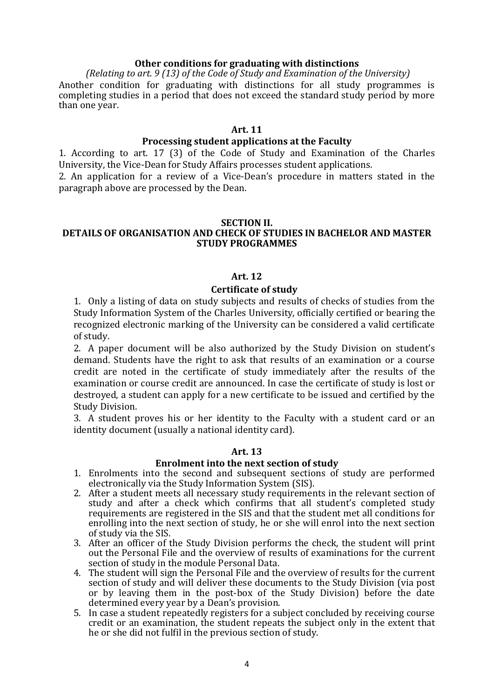#### **Other conditions for graduating with distinctions**

*(Relating to art. 9 (13) of the Code of Study and Examination of the University)* Another condition for graduating with distinctions for all study programmes is completing studies in a period that does not exceed the standard study period by more than one year.

### **Art. 11**

### **Processing student applications at the Faculty**

1. According to art. 17 (3) of the Code of Study and Examination of the Charles University, the Vice-Dean for Study Affairs processes student applications.

2. An application for a review of a Vice-Dean's procedure in matters stated in the paragraph above are processed by the Dean.

#### **SECTION II.**

# **DETAILS OF ORGANISATION AND CHECK OF STUDIES IN BACHELOR AND MASTER STUDY PROGRAMMES**

### **Art. 12**

### **Certificate of study**

1. Only a listing of data on study subjects and results of checks of studies from the Study Information System of the Charles University, officially certified or bearing the recognized electronic marking of the University can be considered a valid certificate of study.

2. A paper document will be also authorized by the Study Division on student's demand. Students have the right to ask that results of an examination or a course credit are noted in the certificate of study immediately after the results of the examination or course credit are announced. In case the certificate of study is lost or destroyed, a student can apply for a new certificate to be issued and certified by the Study Division.

3. A student proves his or her identity to the Faculty with a student card or an identity document (usually a national identity card).

#### **Art. 13**

#### **Enrolment into the next section of study**

- 1. Enrolments into the second and subsequent sections of study are performed electronically via the Study Information System (SIS).
- 2. After a student meets all necessary study requirements in the relevant section of study and after a check which confirms that all student's completed study requirements are registered in the SIS and that the student met all conditions for enrolling into the next section of study, he or she will enrol into the next section of study via the SIS.
- 3. After an officer of the Study Division performs the check, the student will print out the Personal File and the overview of results of examinations for the current section of study in the module Personal Data.
- 4. The student will sign the Personal File and the overview of results for the current section of study and will deliver these documents to the Study Division (via post or by leaving them in the post-box of the Study Division) before the date determined every year by a Dean's provision.
- 5. In case a student repeatedly registers for a subject concluded by receiving course credit or an examination, the student repeats the subject only in the extent that he or she did not fulfil in the previous section of study.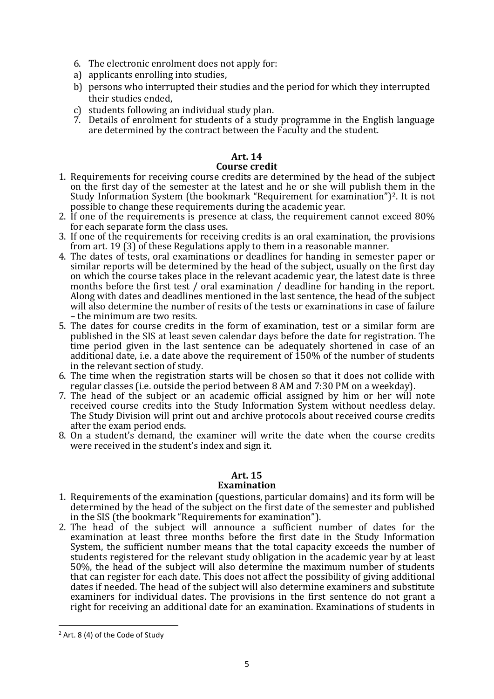- 6. The electronic enrolment does not apply for:
- a) applicants enrolling into studies,
- b) persons who interrupted their studies and the period for which they interrupted their studies ended,
- c) students following an individual study plan.
- 7. Details of enrolment for students of a study programme in the English language are determined by the contract between the Faculty and the student.

#### **Art. 14 Course credit**

- 1. Requirements for receiving course credits are determined by the head of the subject on the first day of the semester at the latest and he or she will publish them in the Study Information System (the bookmark "Requirement for examination")[2](#page-4-0). It is not possible to change these requirements during the academic year.
- 2. If one of the requirements is presence at class, the requirement cannot exceed 80% for each separate form the class uses.
- 3. If one of the requirements for receiving credits is an oral examination, the provisions from art. 19 (3) of these Regulations apply to them in a reasonable manner.
- 4. The dates of tests, oral examinations or deadlines for handing in semester paper or similar reports will be determined by the head of the subject, usually on the first day on which the course takes place in the relevant academic year, the latest date is three months before the first test / oral examination / deadline for handing in the report. Along with dates and deadlines mentioned in the last sentence, the head of the subject will also determine the number of resits of the tests or examinations in case of failure – the minimum are two resits.
- 5. The dates for course credits in the form of examination, test or a similar form are published in the SIS at least seven calendar days before the date for registration. The time period given in the last sentence can be adequately shortened in case of an additional date, i.e. a date above the requirement of 150% of the number of students in the relevant section of study.
- 6. The time when the registration starts will be chosen so that it does not collide with regular classes (i.e. outside the period between 8 AM and 7:30 PM on a weekday).
- 7. The head of the subject or an academic official assigned by him or her will note received course credits into the Study Information System without needless delay. The Study Division will print out and archive protocols about received course credits after the exam period ends.
- 8. On a student's demand, the examiner will write the date when the course credits were received in the student's index and sign it.

### **Art. 15 Examination**

- 1. Requirements of the examination (questions, particular domains) and its form will be determined by the head of the subject on the first date of the semester and published in the SIS (the bookmark "Requirements for examination").
- 2. The head of the subject will announce a sufficient number of dates for the examination at least three months before the first date in the Study Information System, the sufficient number means that the total capacity exceeds the number of students registered for the relevant study obligation in the academic year by at least 50%, the head of the subject will also determine the maximum number of students that can register for each date. This does not affect the possibility of giving additional dates if needed. The head of the subject will also determine examiners and substitute examiners for individual dates. The provisions in the first sentence do not grant a right for receiving an additional date for an examination. Examinations of students in

<span id="page-4-0"></span><sup>&</sup>lt;sup>2</sup> Art. 8 (4) of the Code of Study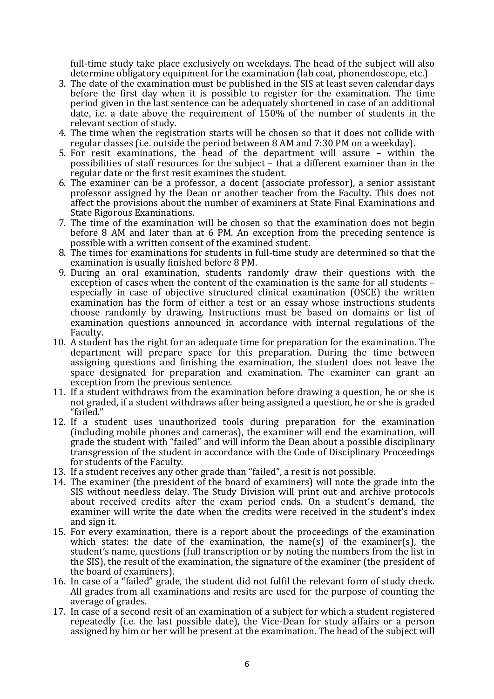full-time study take place exclusively on weekdays. The head of the subject will also determine obligatory equipment for the examination (lab coat, phonendoscope, etc.)

- 3. The date of the examination must be published in the SIS at least seven calendar days before the first day when it is possible to register for the examination. The time period given in the last sentence can be adequately shortened in case of an additional date, i.e. a date above the requirement of 150% of the number of students in the relevant section of study.
- 4. The time when the registration starts will be chosen so that it does not collide with regular classes (i.e. outside the period between 8 AM and 7:30 PM on a weekday).
- 5. For resit examinations, the head of the department will assure within the possibilities of staff resources for the subject – that a different examiner than in the regular date or the first resit examines the student.
- 6. The examiner can be a professor, a docent (associate professor), a senior assistant professor assigned by the Dean or another teacher from the Faculty. This does not affect the provisions about the number of examiners at State Final Examinations and State Rigorous Examinations.
- 7. The time of the examination will be chosen so that the examination does not begin before 8 AM and later than at 6 PM. An exception from the preceding sentence is possible with a written consent of the examined student.
- 8. The times for examinations for students in full-time study are determined so that the examination is usually finished before 8 PM.
- 9. During an oral examination, students randomly draw their questions with the exception of cases when the content of the examination is the same for all students – especially in case of objective structured clinical examination (OSCE) the written examination has the form of either a test or an essay whose instructions students choose randomly by drawing. Instructions must be based on domains or list of examination questions announced in accordance with internal regulations of the Faculty.
- 10. A student has the right for an adequate time for preparation for the examination. The department will prepare space for this preparation. During the time between assigning questions and finishing the examination, the student does not leave the space designated for preparation and examination. The examiner can grant an exception from the previous sentence.
- 11. If a student withdraws from the examination before drawing a question, he or she is not graded, if a student withdraws after being assigned a question, he or she is graded "failed."
- 12. If a student uses unauthorized tools during preparation for the examination (including mobile phones and cameras), the examiner will end the examination, will grade the student with "failed" and will inform the Dean about a possible disciplinary transgression of the student in accordance with the Code of Disciplinary Proceedings for students of the Faculty.
- 13. If a student receives any other grade than "failed", a resit is not possible.
- 14. The examiner (the president of the board of examiners) will note the grade into the SIS without needless delay. The Study Division will print out and archive protocols about received credits after the exam period ends. On a student's demand, the examiner will write the date when the credits were received in the student's index
- 15. For every examination, there is a report about the proceedings of the examination which states: the date of the examination, the name(s) of the examiner(s), the student's name, questions (full transcription or by noting the numbers from the list in the SIS), the result of the examination, the signature of the examiner (the president of the board of examiners).
- 16. In case of a "failed" grade, the student did not fulfil the relevant form of study check. All grades from all examinations and resits are used for the purpose of counting the average of grades.
- 17. In case of a second resit of an examination of a subject for which a student registered repeatedly (i.e. the last possible date), the Vice-Dean for study affairs or a person assigned by him or her will be present at the examination. The head of the subject will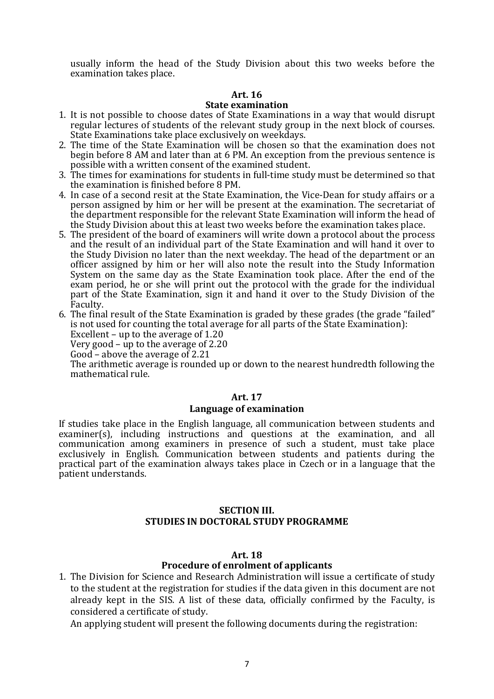usually inform the head of the Study Division about this two weeks before the examination takes place.

### **Art. 16**

#### **State examination**

- 1. It is not possible to choose dates of State Examinations in a way that would disrupt regular lectures of students of the relevant study group in the next block of courses. State Examinations take place exclusively on weekdays.
- 2. The time of the State Examination will be chosen so that the examination does not begin before 8 AM and later than at 6 PM. An exception from the previous sentence is possible with a written consent of the examined student.
- 3. The times for examinations for students in full-time study must be determined so that the examination is finished before 8 PM.
- 4. In case of a second resit at the State Examination, the Vice-Dean for study affairs or a person assigned by him or her will be present at the examination. The secretariat of the department responsible for the relevant State Examination will inform the head of the Study Division about this at least two weeks before the examination takes place.
- 5. The president of the board of examiners will write down a protocol about the process and the result of an individual part of the State Examination and will hand it over to the Study Division no later than the next weekday. The head of the department or an officer assigned by him or her will also note the result into the Study Information System on the same day as the State Examination took place. After the end of the exam period, he or she will print out the protocol with the grade for the individual part of the State Examination, sign it and hand it over to the Study Division of the Faculty.
- 6. The final result of the State Examination is graded by these grades (the grade "failed" is not used for counting the total average for all parts of the State Examination):

Excellent – up to the average of 1.20

Very good – up to the average of  $2.20$ 

Good – above the average of 2.21

The arithmetic average is rounded up or down to the nearest hundredth following the mathematical rule.

### **Art. 17**

### **Language of examination**

If studies take place in the English language, all communication between students and examiner(s), including instructions and questions at the examination, and all communication among examiners in presence of such a student, must take place exclusively in English. Communication between students and patients during the practical part of the examination always takes place in Czech or in a language that the patient understands.

### **SECTION III. STUDIES IN DOCTORAL STUDY PROGRAMME**

### **Art. 18**

# **Procedure of enrolment of applicants**

1. The Division for Science and Research Administration will issue a certificate of study to the student at the registration for studies if the data given in this document are not already kept in the SIS. A list of these data, officially confirmed by the Faculty, is considered a certificate of study.

An applying student will present the following documents during the registration: